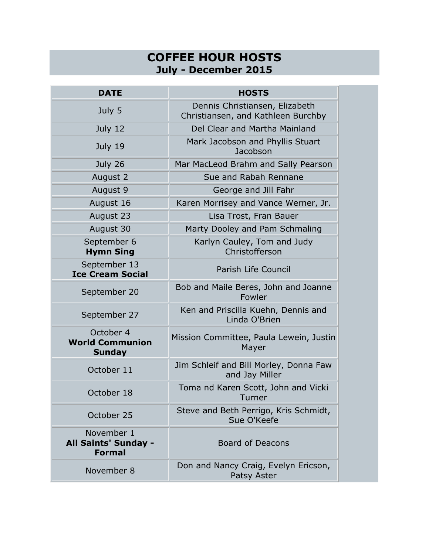## **COFFEE HOUR HOSTS July - December 2015**

| <b>DATE</b>                                          | <b>HOSTS</b>                                                         |
|------------------------------------------------------|----------------------------------------------------------------------|
| July 5                                               | Dennis Christiansen, Elizabeth<br>Christiansen, and Kathleen Burchby |
| July 12                                              | Del Clear and Martha Mainland                                        |
| July 19                                              | Mark Jacobson and Phyllis Stuart<br>Jacobson                         |
| July 26                                              | Mar MacLeod Brahm and Sally Pearson                                  |
| August 2                                             | Sue and Rabah Rennane                                                |
| August 9                                             | George and Jill Fahr                                                 |
| August 16                                            | Karen Morrisey and Vance Werner, Jr.                                 |
| August 23                                            | Lisa Trost, Fran Bauer                                               |
| August 30                                            | Marty Dooley and Pam Schmaling                                       |
| September 6<br><b>Hymn Sing</b>                      | Karlyn Cauley, Tom and Judy<br>Christofferson                        |
| September 13<br><b>Ice Cream Social</b>              | Parish Life Council                                                  |
| September 20                                         | Bob and Maile Beres, John and Joanne<br>Fowler                       |
| September 27                                         | Ken and Priscilla Kuehn, Dennis and<br>Linda O'Brien                 |
| October 4<br><b>World Communion</b><br><b>Sunday</b> | Mission Committee, Paula Lewein, Justin<br>Mayer                     |
| October 11                                           | Jim Schleif and Bill Morley, Donna Faw<br>and Jay Miller             |
| October 18                                           | Toma nd Karen Scott, John and Vicki<br>Turner                        |
| October 25                                           | Steve and Beth Perrigo, Kris Schmidt,<br>Sue O'Keefe                 |
| November 1<br>All Saints' Sunday -<br><b>Formal</b>  | <b>Board of Deacons</b>                                              |
| November 8                                           | Don and Nancy Craig, Evelyn Ericson,<br>Patsy Aster                  |